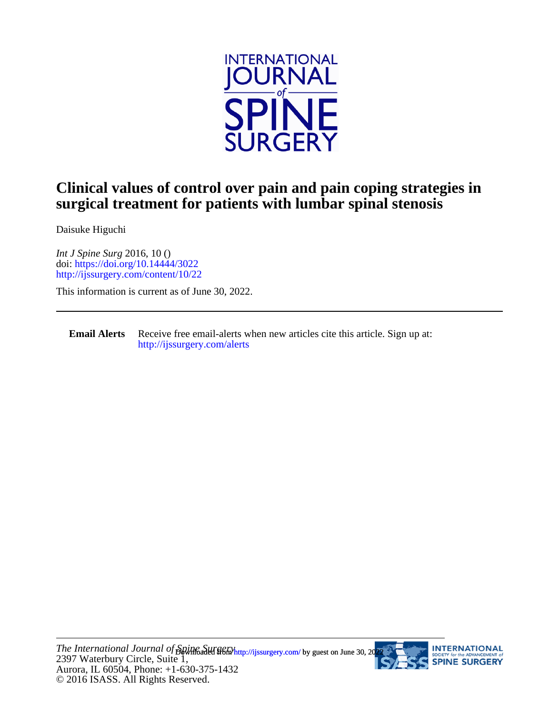

## **surgical treatment for patients with lumbar spinal stenosis Clinical values of control over pain and pain coping strategies in**

Daisuke Higuchi

<http://ijssurgery.com/content/10/22> doi:<https://doi.org/10.14444/3022> *Int J Spine Surg* 2016, 10 ()

This information is current as of June 30, 2022.

**Email Alerts** [http://ijssurgery.com/alerts](http://jpm.iijournals.com/alerts) Receive free email-alerts when new articles cite this article. Sign up at:

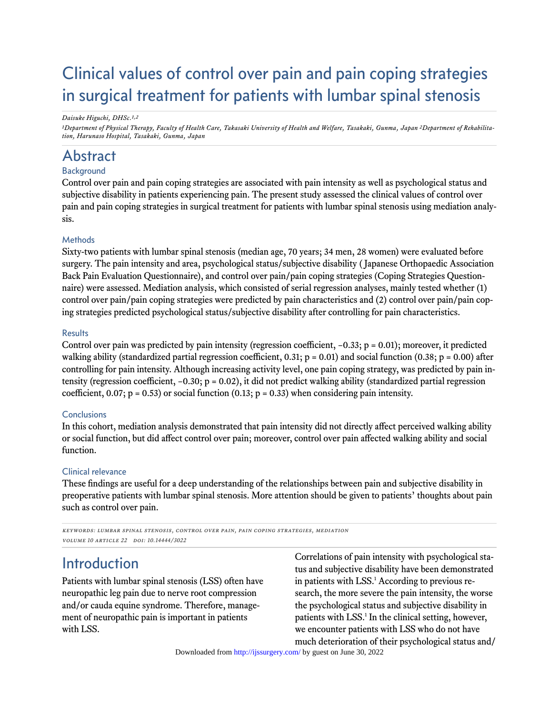# Clinical values of control over pain and pain coping strategies in surgical treatment for patients with lumbar spinal stenosis

#### *Daisuke Higuchi, DHSc.1,2*

*1Department of Physical Therapy, Faculty of Health Care, Takasaki University of Health and Welfare, Tasakaki, Gunma, Japan 2Department of Rehabilitation, Harunaso Hospital, Tasakaki, Gunma, Japan*

## Abstract

### Background

Control over pain and pain coping strategies are associated with pain intensity as well as psychological status and subjective disability in patients experiencing pain. The present study assessed the clinical values of control over pain and pain coping strategies in surgical treatment for patients with lumbar spinal stenosis using mediation analysis.

### **Methods**

Sixty-two patients with lumbar spinal stenosis (median age, 70 years; 34 men, 28 women) were evaluated before surgery. The pain intensity and area, psychological status/subjective disability ( Japanese Orthopaedic Association Back Pain Evaluation Questionnaire), and control over pain/pain coping strategies (Coping Strategies Questionnaire) were assessed. Mediation analysis, which consisted of serial regression analyses, mainly tested whether (1) control over pain/pain coping strategies were predicted by pain characteristics and (2) control over pain/pain coping strategies predicted psychological status/subjective disability after controlling for pain characteristics.

### **Results**

Control over pain was predicted by pain intensity (regression coefficient, −0.33; p = 0.01); moreover, it predicted walking ability (standardized partial regression coefficient, 0.31;  $p = 0.01$ ) and social function (0.38;  $p = 0.00$ ) after controlling for pain intensity. Although increasing activity level, one pain coping strategy, was predicted by pain intensity (regression coefficient, −0.30; p = 0.02), it did not predict walking ability (standardized partial regression coefficient, 0.07;  $p = 0.53$ ) or social function (0.13;  $p = 0.33$ ) when considering pain intensity.

### **Conclusions**

In this cohort, mediation analysis demonstrated that pain intensity did not directly affect perceived walking ability or social function, but did affect control over pain; moreover, control over pain affected walking ability and social function.

### Clinical relevance

These findings are useful for a deep understanding of the relationships between pain and subjective disability in preoperative patients with lumbar spinal stenosis. More attention should be given to patients' thoughts about pain such as control over pain.

keywords: lumbar spinal stenosis, control over pain, pain coping strategies, mediation volume 10 article 22 doi: 10.14444/3022

## **Introduction**

Patients with lumbar spinal stenosis (LSS) often have neuropathic leg pain due to nerve root compression and/or cauda equine syndrome. Therefore, management of neuropathic pain is important in patients with LSS.

Correlations of pain intensity with psychological status and subjective disability have been demonstrated in patients with LSS.<sup>[1](#page-7-0)</sup> According to previous research, the more severe the pain intensity, the worse the psychological status and subjective disability in patients with LSS.<sup>[1](#page-7-0)</sup> In the clinical setting, however, we encounter patients with LSS who do not have much deterioration of their psychological status and/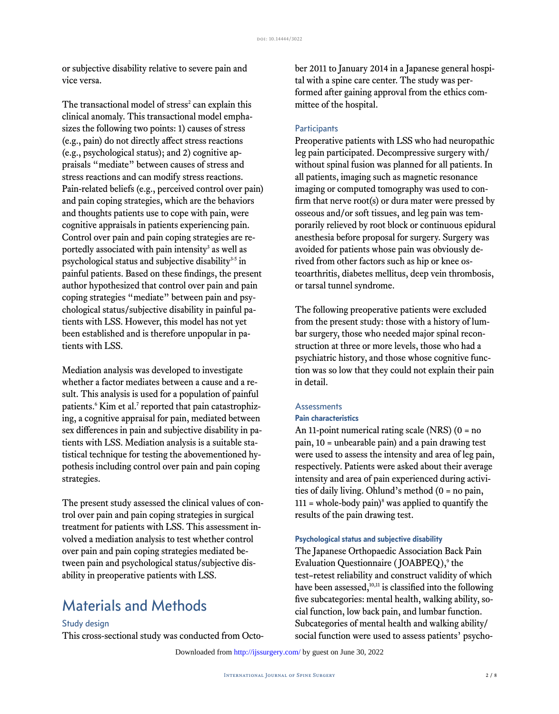or subjective disability relative to severe pain and vice versa.

The transactional model of stress<sup>[2](#page-7-0)</sup> can explain this clinical anomaly. This transactional model emphasizes the following two points: 1) causes of stress (e.g., pain) do not directly affect stress reactions (e.g., psychological status); and 2) cognitive appraisals "mediate" between causes of stress and stress reactions and can modify stress reactions. Pain-related beliefs (e.g., perceived control over pain) and pain coping strategies, which are the behaviors and thoughts patients use to cope with pain, were cognitive appraisals in patients experiencing pain. Control over pain and pain coping strategies are re-portedly associated with pain intensity<sup>[3](#page-7-0)</sup> as well as psychological status and subjective disability<sup>[3-5](#page-7-0)</sup> in painful patients. Based on these findings, the present author hypothesized that control over pain and pain coping strategies "mediate" between pain and psychological status/subjective disability in painful patients with LSS. However, this model has not yet been established and is therefore unpopular in patients with LSS.

Mediation analysis was developed to investigate whether a factor mediates between a cause and a result. This analysis is used for a population of painful patients.<sup>[6](#page-7-0)</sup> Kim et al.<sup>[7](#page-7-0)</sup> reported that pain catastrophizing, a cognitive appraisal for pain, mediated between sex differences in pain and subjective disability in patients with LSS. Mediation analysis is a suitable statistical technique for testing the abovementioned hypothesis including control over pain and pain coping strategies.

The present study assessed the clinical values of control over pain and pain coping strategies in surgical treatment for patients with LSS. This assessment involved a mediation analysis to test whether control over pain and pain coping strategies mediated between pain and psychological status/subjective disability in preoperative patients with LSS.

## Materials and Methods

Study design

This cross-sectional study was conducted from Octo-

ber 2011 to January 2014 in a Japanese general hospital with a spine care center. The study was performed after gaining approval from the ethics committee of the hospital.

#### **Participants**

Preoperative patients with LSS who had neuropathic leg pain participated. Decompressive surgery with/ without spinal fusion was planned for all patients. In all patients, imaging such as magnetic resonance imaging or computed tomography was used to confirm that nerve root(s) or dura mater were pressed by osseous and/or soft tissues, and leg pain was temporarily relieved by root block or continuous epidural anesthesia before proposal for surgery. Surgery was avoided for patients whose pain was obviously derived from other factors such as hip or knee osteoarthritis, diabetes mellitus, deep vein thrombosis, or tarsal tunnel syndrome.

The following preoperative patients were excluded from the present study: those with a history of lumbar surgery, those who needed major spinal reconstruction at three or more levels, those who had a psychiatric history, and those whose cognitive function was so low that they could not explain their pain in detail.

### **Assessments**

### **Pain characteristics**

An 11-point numerical rating scale (NRS)  $(0 = no$ pain, 10 = unbearable pain) and a pain drawing test were used to assess the intensity and area of leg pain, respectively. Patients were asked about their average intensity and area of pain experienced during activities of daily living. Ohlund's method (0 = no pain,  $111 =$  whole-body pain)<sup>[8](#page-7-0)</sup> was applied to quantify the results of the pain drawing test.

#### **Psychological status and subjective disability**

The Japanese Orthopaedic Association Back Pain Evaluation Questionnaire (JOABPEQ),<sup>[9](#page-7-0)</sup> the test–retest reliability and construct validity of which have been assessed, $10,111$  $10,111$  is classified into the following five subcategories: mental health, walking ability, social function, low back pain, and lumbar function. Subcategories of mental health and walking ability/ social function were used to assess patients' psycho-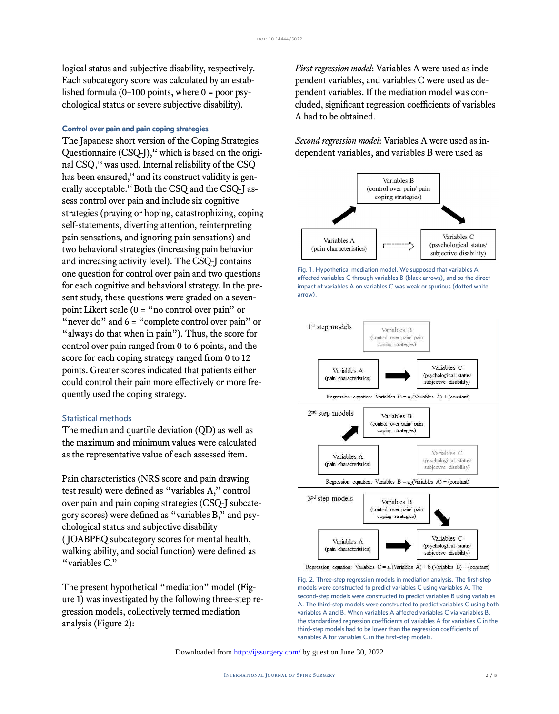logical status and subjective disability, respectively. Each subcategory score was calculated by an established formula  $(0-100 \text{ points}, \text{where } 0 = \text{poor } \text{psy}$ chological status or severe subjective disability).

#### **Control over pain and pain coping strategies**

<span id="page-3-0"></span>The Japanese short version of the Coping Strategies Questionnaire  $(CSQ-J)$ ,<sup>[12](#page-7-0)</sup> which is based on the original CSQ,[13](#page-7-0) was used. Internal reliability of the CSQ has been ensured, $^{14}$  $^{14}$  $^{14}$  and its construct validity is generally acceptable.[15](#page-7-0) Both the CSQ and the CSQ-J assess control over pain and include six cognitive strategies (praying or hoping, catastrophizing, coping self-statements, diverting attention, reinterpreting pain sensations, and ignoring pain sensations) and two behavioral strategies (increasing pain behavior and increasing activity level). The CSQ-J contains one question for control over pain and two questions for each cognitive and behavioral strategy. In the present study, these questions were graded on a sevenpoint Likert scale (0 = "no control over pain" or "never do" and  $6 =$  "complete control over pain" or "always do that when in pain"). Thus, the score for control over pain ranged from 0 to 6 points, and the score for each coping strategy ranged from 0 to 12 points. Greater scores indicated that patients either could control their pain more effectively or more frequently used the coping strategy.

#### Statistical methods

The median and quartile deviation (QD) as well as the maximum and minimum values were calculated as the representative value of each assessed item.

Pain characteristics (NRS score and pain drawing test result) were defined as "variables A," control over pain and pain coping strategies (CSQ-J subcategory scores) were defined as "variables B," and psychological status and subjective disability ( JOABPEQ subcategory scores for mental health, walking ability, and social function) were defined as "variables C."

<span id="page-3-1"></span>The present hypothetical "mediation" model ([Fig](#page-3-0)[ure 1](#page-3-0)) was investigated by the following three-step regression models, collectively termed mediation analysis ([Figure 2](#page-3-1)):

*First regression model*: Variables A were used as independent variables, and variables C were used as dependent variables. If the mediation model was concluded, significant regression coefficients of variables A had to be obtained.

*Second regression model*: Variables A were used as independent variables, and variables B were used as



Fig. 1. Hypothetical mediation model. We supposed that variables A affected variables C through variables B (black arrows), and so the direct impact of variables A on variables C was weak or spurious (dotted white arrow).



Fig. 2. Three-step regression models in mediation analysis. The first-step models were constructed to predict variables C using variables A. The second-step models were constructed to predict variables B using variables A. The third-step models were constructed to predict variables C using both variables A and B. When variables A affected variables C via variables B, the standardized regression coefficients of variables A for variables C in the third-step models had to be lower than the regression coefficients of variables A for variables C in the first-step models.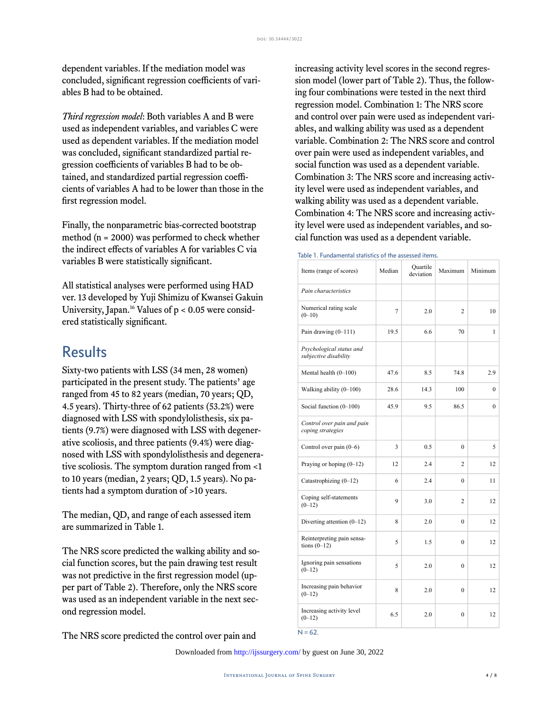dependent variables. If the mediation model was concluded, significant regression coefficients of variables B had to be obtained.

*Third regression model*: Both variables A and B were used as independent variables, and variables C were used as dependent variables. If the mediation model was concluded, significant standardized partial regression coefficients of variables B had to be obtained, and standardized partial regression coefficients of variables A had to be lower than those in the first regression model.

Finally, the nonparametric bias-corrected bootstrap method (n = 2000) was performed to check whether the indirect effects of variables A for variables C via variables B were statistically significant.

<span id="page-4-0"></span>All statistical analyses were performed using HAD ver. 13 developed by Yuji Shimizu of Kwansei Gakuin University, Japan.<sup>[16](#page-7-0)</sup> Values of  $p < 0.05$  were considered statistically significant.

## **Results**

Sixty-two patients with LSS (34 men, 28 women) participated in the present study. The patients' age ranged from 45 to 82 years (median, 70 years; QD, 4.5 years). Thirty-three of 62 patients (53.2%) were diagnosed with LSS with spondylolisthesis, six patients (9.7%) were diagnosed with LSS with degenerative scoliosis, and three patients (9.4%) were diagnosed with LSS with spondylolisthesis and degenerative scoliosis. The symptom duration ranged from <1 to 10 years (median, 2 years; QD, 1.5 years). No patients had a symptom duration of >10 years.

The median, QD, and range of each assessed item are summarized in [Table 1](#page-4-0).

The NRS score predicted the walking ability and social function scores, but the pain drawing test result was not predictive in the first regression model (upper part of [Table 2](#page-5-0)). Therefore, only the NRS score was used as an independent variable in the next second regression model.

The NRS score predicted the control over pain and

increasing activity level scores in the second regression model (lower part of [Table 2](#page-5-0)). Thus, the following four combinations were tested in the next third regression model. Combination 1: The NRS score and control over pain were used as independent variables, and walking ability was used as a dependent variable. Combination 2: The NRS score and control over pain were used as independent variables, and social function was used as a dependent variable. Combination 3: The NRS score and increasing activity level were used as independent variables, and walking ability was used as a dependent variable. Combination 4: The NRS score and increasing activity level were used as independent variables, and social function was used as a dependent variable.

Table 1. Fundamental statistics of the assessed items.

| Items (range of scores)                           | Median | Quartile<br>deviation | Maximum        | Minimum      |
|---------------------------------------------------|--------|-----------------------|----------------|--------------|
| Pain characteristics                              |        |                       |                |              |
| Numerical rating scale<br>$(0-10)$                | 7      | 2.0                   | 2              | 10           |
| Pain drawing $(0-111)$                            | 19.5   | 6.6                   | 70             | 1            |
| Psychological status and<br>subjective disability |        |                       |                |              |
| Mental health $(0-100)$                           | 47.6   | 8.5                   | 74.8           | 2.9          |
| Walking ability $(0-100)$                         | 28.6   | 14.3                  | 100            | $\mathbf{0}$ |
| Social function (0-100)                           | 45.9   | 9.5                   | 86.5           | $\theta$     |
| Control over pain and pain<br>coping strategies   |        |                       |                |              |
| Control over pain $(0-6)$                         | 3      | 0.5                   | $\Omega$       | 5            |
| Praying or hoping $(0-12)$                        | 12     | 2.4                   | $\overline{c}$ | 12           |
| Catastrophizing (0-12)                            | 6      | 2.4                   | $\Omega$       | 11           |
| Coping self-statements<br>$(0-12)$                | 9      | 3.0                   | 2              | 12           |
| Diverting attention $(0-12)$                      | 8      | 2.0                   | $\Omega$       | 12           |
| Reinterpreting pain sensa-<br>tions $(0-12)$      | 5      | 1.5                   | $\theta$       | 12           |
| Ignoring pain sensations<br>$(0-12)$              | 5      | 2.0                   | $\overline{0}$ | 12           |
| Increasing pain behavior<br>$(0-12)$              | 8      | 2.0                   | $\overline{0}$ | 12           |
| Increasing activity level<br>$(0-12)$             | 6.5    | 2.0                   | $\overline{0}$ | 12           |
| $N = 62.$                                         |        |                       |                |              |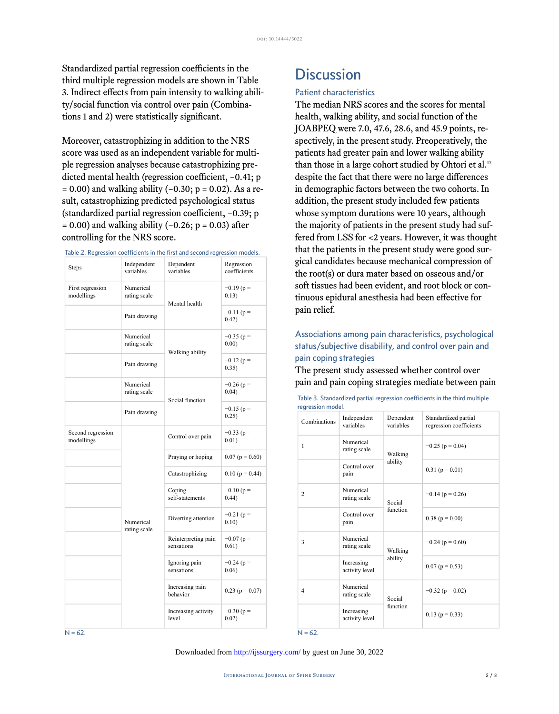Standardized partial regression coefficients in the third multiple regression models are shown in [Table](#page-5-1) [3.](#page-5-1) Indirect effects from pain intensity to walking ability/social function via control over pain (Combinations 1 and 2) were statistically significant.

Moreover, catastrophizing in addition to the NRS score was used as an independent variable for multiple regression analyses because catastrophizing predicted mental health (regression coefficient, −0.41; p = 0.00) and walking ability (−0.30; p = 0.02). As a result, catastrophizing predicted psychological status (standardized partial regression coefficient, −0.39; p = 0.00) and walking ability (−0.26; p = 0.03) after controlling for the NRS score.

<span id="page-5-1"></span>

| <b>Steps</b>                    | Independent<br>variables     | Dependent<br>variables            | Regression<br>coefficients |
|---------------------------------|------------------------------|-----------------------------------|----------------------------|
| First regression<br>modellings  | Numerical<br>rating scale    | Mental health                     | $-0.19$ (p =<br>0.13)      |
|                                 | Pain drawing                 |                                   | $-0.11(p=$<br>0.42)        |
|                                 | Numerical<br>rating scale    | Walking ability                   | $-0.35$ (p =<br>0.00)      |
|                                 | Pain drawing                 |                                   | $-0.12$ (p =<br>0.35)      |
|                                 | Numerical<br>rating scale    | Social function                   | $-0.26$ (p =<br>0.04)      |
|                                 | Pain drawing                 |                                   | $-0.15$ (p =<br>0.25)      |
| Second regression<br>modellings |                              | Control over pain                 | $-0.33$ (p =<br>0.01)      |
|                                 |                              | Praying or hoping                 | $0.07$ (p = 0.60)          |
|                                 |                              | Catastrophizing                   | $0.10$ (p = 0.44)          |
|                                 |                              | Coping<br>self-statements         | $-0.10(p =$<br>0.44)       |
|                                 | Numerical<br>rating scale    | Diverting attention               | $-0.21$ (p =<br>0.10)      |
|                                 |                              | Reinterpreting pain<br>sensations | $-0.07$ (p =<br>0.61)      |
|                                 |                              | Ignoring pain<br>sensations       | $-0.24$ (p =<br>0.06)      |
|                                 |                              | Increasing pain<br>behavior       | $0.23$ (p = 0.07)          |
|                                 | Increasing activity<br>level | $-0.30$ (p =<br>0.02)             |                            |

<span id="page-5-0"></span>

| Table 2. Regression coefficients in the first and second regression models. |  |  |  |
|-----------------------------------------------------------------------------|--|--|--|
|                                                                             |  |  |  |

## **Discussion**

#### Patient characteristics

The median NRS scores and the scores for mental health, walking ability, and social function of the JOABPEQ were 7.0, 47.6, 28.6, and 45.9 points, respectively, in the present study. Preoperatively, the patients had greater pain and lower walking ability than those in a large cohort studied by Ohtori et al.<sup>[17](#page-7-0)</sup> despite the fact that there were no large differences in demographic factors between the two cohorts. In addition, the present study included few patients whose symptom durations were 10 years, although the majority of patients in the present study had suffered from LSS for <2 years. However, it was thought that the patients in the present study were good surgical candidates because mechanical compression of the root(s) or dura mater based on osseous and/or soft tissues had been evident, and root block or continuous epidural anesthesia had been effective for pain relief.

### Associations among pain characteristics, psychological status/subjective disability, and control over pain and pain coping strategies

The present study assessed whether control over pain and pain coping strategies mediate between pain

| Table 3. Standardized partial regression coefficients in the third multiple |  |  |
|-----------------------------------------------------------------------------|--|--|
| regression model.                                                           |  |  |

| Combinations                 | Independent<br>variables     | Dependent<br>variables | Standardized partial<br>regression coefficients |
|------------------------------|------------------------------|------------------------|-------------------------------------------------|
| 1                            | Numerical<br>rating scale    | Walking<br>ability     | $-0.25$ (p = 0.04)                              |
|                              | Control over<br>pain         |                        | $0.31$ (p = 0.01)                               |
| $\overline{2}$               | Numerical<br>rating scale    | Social<br>function     | $-0.14$ (p = 0.26)                              |
|                              | Control over<br>pain         |                        | $0.38(p = 0.00)$                                |
| 3                            | Numerical<br>rating scale    | Walking<br>ability     | $-0.24$ (p = 0.60)                              |
|                              | Increasing<br>activity level |                        | $0.07$ (p = 0.53)                               |
| $\overline{4}$               | Numerical<br>rating scale    | Social                 | $-0.32$ (p = 0.02)                              |
| Increasing<br>activity level | function                     | $0.13$ (p = 0.33)      |                                                 |

 $N = 62$ .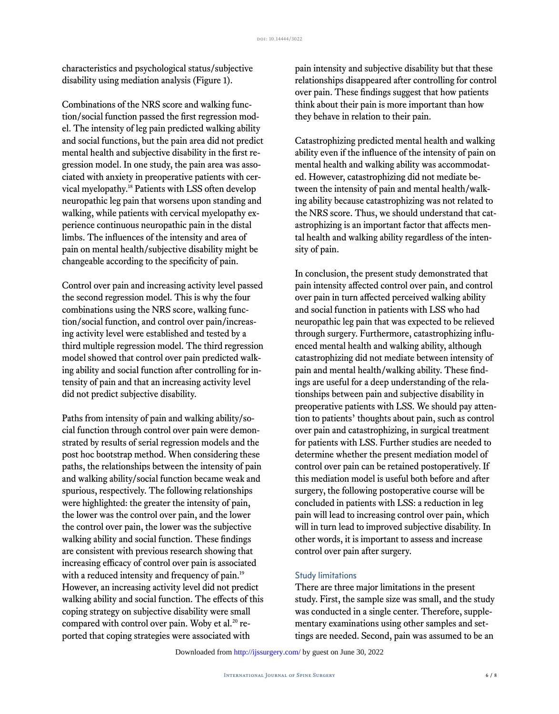characteristics and psychological status/subjective disability using mediation analysis [\(Figure 1](#page-3-0)).

Combinations of the NRS score and walking function/social function passed the first regression model. The intensity of leg pain predicted walking ability and social functions, but the pain area did not predict mental health and subjective disability in the first regression model. In one study, the pain area was associated with anxiety in preoperative patients with cervical myelopathy.[18](#page-7-0) Patients with LSS often develop neuropathic leg pain that worsens upon standing and walking, while patients with cervical myelopathy experience continuous neuropathic pain in the distal limbs. The influences of the intensity and area of pain on mental health/subjective disability might be changeable according to the specificity of pain.

Control over pain and increasing activity level passed the second regression model. This is why the four combinations using the NRS score, walking function/social function, and control over pain/increasing activity level were established and tested by a third multiple regression model. The third regression model showed that control over pain predicted walking ability and social function after controlling for intensity of pain and that an increasing activity level did not predict subjective disability.

Paths from intensity of pain and walking ability/social function through control over pain were demonstrated by results of serial regression models and the post hoc bootstrap method. When considering these paths, the relationships between the intensity of pain and walking ability/social function became weak and spurious, respectively. The following relationships were highlighted: the greater the intensity of pain, the lower was the control over pain, and the lower the control over pain, the lower was the subjective walking ability and social function. These findings are consistent with previous research showing that increasing efficacy of control over pain is associated with a reduced intensity and frequency of pain.<sup>[19](#page-7-0)</sup> However, an increasing activity level did not predict walking ability and social function. The effects of this coping strategy on subjective disability were small compared with control over pain. Woby et al.<sup>[20](#page-7-0)</sup> reported that coping strategies were associated with

pain intensity and subjective disability but that these relationships disappeared after controlling for control over pain. These findings suggest that how patients think about their pain is more important than how they behave in relation to their pain.

Catastrophizing predicted mental health and walking ability even if the influence of the intensity of pain on mental health and walking ability was accommodated. However, catastrophizing did not mediate between the intensity of pain and mental health/walking ability because catastrophizing was not related to the NRS score. Thus, we should understand that catastrophizing is an important factor that affects mental health and walking ability regardless of the intensity of pain.

In conclusion, the present study demonstrated that pain intensity affected control over pain, and control over pain in turn affected perceived walking ability and social function in patients with LSS who had neuropathic leg pain that was expected to be relieved through surgery. Furthermore, catastrophizing influenced mental health and walking ability, although catastrophizing did not mediate between intensity of pain and mental health/walking ability. These findings are useful for a deep understanding of the relationships between pain and subjective disability in preoperative patients with LSS. We should pay attention to patients' thoughts about pain, such as control over pain and catastrophizing, in surgical treatment for patients with LSS. Further studies are needed to determine whether the present mediation model of control over pain can be retained postoperatively. If this mediation model is useful both before and after surgery, the following postoperative course will be concluded in patients with LSS: a reduction in leg pain will lead to increasing control over pain, which will in turn lead to improved subjective disability. In other words, it is important to assess and increase control over pain after surgery.

#### Study limitations

There are three major limitations in the present study. First, the sample size was small, and the study was conducted in a single center. Therefore, supplementary examinations using other samples and settings are needed. Second, pain was assumed to be an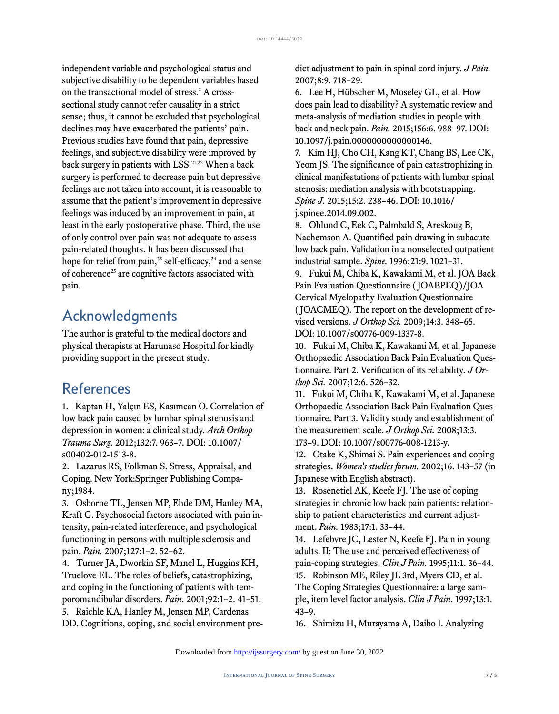independent variable and psychological status and subjective disability to be dependent variables based on the transactional model of stress.[2](#page-7-0) A crosssectional study cannot refer causality in a strict sense; thus, it cannot be excluded that psychological declines may have exacerbated the patients' pain. Previous studies have found that pain, depressive feelings, and subjective disability were improved by back surgery in patients with LSS.<sup>[21,22](#page-7-0)</sup> When a back surgery is performed to decrease pain but depressive feelings are not taken into account, it is reasonable to assume that the patient's improvement in depressive feelings was induced by an improvement in pain, at least in the early postoperative phase. Third, the use of only control over pain was not adequate to assess pain-related thoughts. It has been discussed that hope for relief from pain,<sup>[23](#page-7-0)</sup> self-efficacy,<sup>[24](#page-7-0)</sup> and a sense of coherence<sup>[25](#page-7-0)</sup> are cognitive factors associated with pain.

## Acknowledgments

The author is grateful to the medical doctors and physical therapists at Harunaso Hospital for kindly providing support in the present study.

## <span id="page-7-0"></span>References

1. [Kaptan H, Yalçın ES, Kasımcan O. Correlation of](http://dx.doi.org/10.1007/s00402-012-1513-8) [low back pain caused by lumbar spinal stenosis and](http://dx.doi.org/10.1007/s00402-012-1513-8) [depression in women: a clinical study.](http://dx.doi.org/10.1007/s00402-012-1513-8) *Arch Orthop Trauma Surg.* [2012;132:7. 963–7. DOI: 10.1007/](http://dx.doi.org/10.1007/s00402-012-1513-8) [s00402-012-1513-8.](http://dx.doi.org/10.1007/s00402-012-1513-8)

2. [Lazarus RS, Folkman S. Stress, Appraisal, and](http://dx.doi.org/10.1017/s0141347300015019) [Coping. New York:Springer Publishing Compa](http://dx.doi.org/10.1017/s0141347300015019)[ny;1984.](http://dx.doi.org/10.1017/s0141347300015019)

3. [Osborne TL, Jensen MP, Ehde DM, Hanley MA,](http://dx.doi.org/10.1016/j.pain.2006.07.017) [Kraft G. Psychosocial factors associated with pain in](http://dx.doi.org/10.1016/j.pain.2006.07.017)[tensity, pain-related interference, and psychological](http://dx.doi.org/10.1016/j.pain.2006.07.017) [functioning in persons with multiple sclerosis and](http://dx.doi.org/10.1016/j.pain.2006.07.017) pain. *Pain.* [2007;127:1–2. 52–62.](http://dx.doi.org/10.1016/j.pain.2006.07.017)

4. [Turner JA, Dworkin SF, Mancl L, Huggins KH,](http://dx.doi.org/10.1016/s0304-3959(00)00469-3) [Truelove EL. The roles of beliefs, catastrophizing,](http://dx.doi.org/10.1016/s0304-3959(00)00469-3) [and coping in the functioning of patients with tem](http://dx.doi.org/10.1016/s0304-3959(00)00469-3)[poromandibular disorders.](http://dx.doi.org/10.1016/s0304-3959(00)00469-3) *Pain.* 2001;92:1–2. 41–51. 5. [Raichle KA, Hanley M, Jensen MP, Cardenas](http://dx.doi.org/10.1016/j.jpain.2007.05.006) [DD. Cognitions, coping, and social environment pre-](http://dx.doi.org/10.1016/j.jpain.2007.05.006) [dict adjustment to pain in spinal cord injury.](http://dx.doi.org/10.1016/j.jpain.2007.05.006) *J Pain.* [2007;8:9. 718–29.](http://dx.doi.org/10.1016/j.jpain.2007.05.006)

6. [Lee H, Hübscher M, Moseley GL, et al. How](http://dx.doi.org/10.1097/j.pain.0000000000000146) [does pain lead to disability? A systematic review and](http://dx.doi.org/10.1097/j.pain.0000000000000146) [meta-analysis of mediation studies in people with](http://dx.doi.org/10.1097/j.pain.0000000000000146) back and neck pain. *Pain.* [2015;156:6. 988–97. DOI:](http://dx.doi.org/10.1097/j.pain.0000000000000146) [10.1097/j.pain.0000000000000146.](http://dx.doi.org/10.1097/j.pain.0000000000000146)

7. [Kim HJ, Cho CH, Kang KT, Chang BS, Lee CK,](http://dx.doi.org/10.1016/j.spinee.2014.09.002) [Yeom JS. The significance of pain catastrophizing in](http://dx.doi.org/10.1016/j.spinee.2014.09.002) [clinical manifestations of patients with lumbar spinal](http://dx.doi.org/10.1016/j.spinee.2014.09.002) [stenosis: mediation analysis with bootstrapping.](http://dx.doi.org/10.1016/j.spinee.2014.09.002) *Spine J.* [2015;15:2. 238–46. DOI: 10.1016/](http://dx.doi.org/10.1016/j.spinee.2014.09.002) [j.spinee.2014.09.002.](http://dx.doi.org/10.1016/j.spinee.2014.09.002)

8. [Ohlund C, Eek C, Palmbald S, Areskoug B,](http://dx.doi.org/10.1097/00007632-199605010-00005) [Nachemson A. Quantified pain drawing in subacute](http://dx.doi.org/10.1097/00007632-199605010-00005) [low back pain. Validation in a nonselected outpatient](http://dx.doi.org/10.1097/00007632-199605010-00005) industrial sample. *Spine.* [1996;21:9. 1021–31.](http://dx.doi.org/10.1097/00007632-199605010-00005)

9. [Fukui M, Chiba K, Kawakami M, et al. JOA Back](http://dx.doi.org/10.1007/s00776-009-1337-8) [Pain Evaluation Questionnaire \( JOABPEQ \)/JOA](http://dx.doi.org/10.1007/s00776-009-1337-8) [Cervical Myelopathy Evaluation Questionnaire](http://dx.doi.org/10.1007/s00776-009-1337-8) [\( JOACMEQ \). The report on the development of re](http://dx.doi.org/10.1007/s00776-009-1337-8)vised versions. *J Orthop Sci.* [2009;14:3. 348–65.](http://dx.doi.org/10.1007/s00776-009-1337-8) [DOI: 10.1007/s00776-009-1337-8.](http://dx.doi.org/10.1007/s00776-009-1337-8)

10. [Fukui M, Chiba K, Kawakami M, et al. Japanese](http://dx.doi.org/10.1007/s00776-007-1168-4) [Orthopaedic Association Back Pain Evaluation Ques](http://dx.doi.org/10.1007/s00776-007-1168-4)[tionnaire. Part 2. Verification of its reliability.](http://dx.doi.org/10.1007/s00776-007-1168-4) *J Orthop Sci.* [2007;12:6. 526–32.](http://dx.doi.org/10.1007/s00776-007-1168-4)

11. [Fukui M, Chiba K, Kawakami M, et al. Japanese](http://dx.doi.org/10.1007/s00776-008-1213-y) [Orthopaedic Association Back Pain Evaluation Ques](http://dx.doi.org/10.1007/s00776-008-1213-y)[tionnaire. Part 3. Validity study and establishment of](http://dx.doi.org/10.1007/s00776-008-1213-y) [the measurement scale.](http://dx.doi.org/10.1007/s00776-008-1213-y) *J Orthop Sci.* 2008;13:3. [173–9. DOI: 10.1007/s00776-008-1213-y.](http://dx.doi.org/10.1007/s00776-008-1213-y)

12. Otake K, Shimai S. Pain experiences and coping strategies. *Women's studies forum.* 2002;16. 143–57 (in Japanese with English abstract).

13. [Rosenetiel AK, Keefe FJ. The use of coping](http://dx.doi.org/10.1016/0304-3959(83)90125-2) [strategies in chronic low back pain patients: relation](http://dx.doi.org/10.1016/0304-3959(83)90125-2)[ship to patient characteristics and current adjust](http://dx.doi.org/10.1016/0304-3959(83)90125-2)ment. *Pain.* [1983;17:1. 33–44.](http://dx.doi.org/10.1016/0304-3959(83)90125-2)

14. [Lefebvre JC, Lester N, Keefe FJ. Pain in young](http://dx.doi.org/10.1097/00002508-199503000-00005) [adults. II: The use and perceived effectiveness of](http://dx.doi.org/10.1097/00002508-199503000-00005) [pain-coping strategies.](http://dx.doi.org/10.1097/00002508-199503000-00005) *Clin J Pain.* 1995;11:1. 36–44. 15. Robinson ME, Riley JL 3rd, Myers CD, et al. The Coping Strategies Questionnaire: a large sample, item level factor analysis. *Clin J Pain.* 1997;13:1. 43–9.

16. Shimizu H, Murayama A, Daibo I. Analyzing